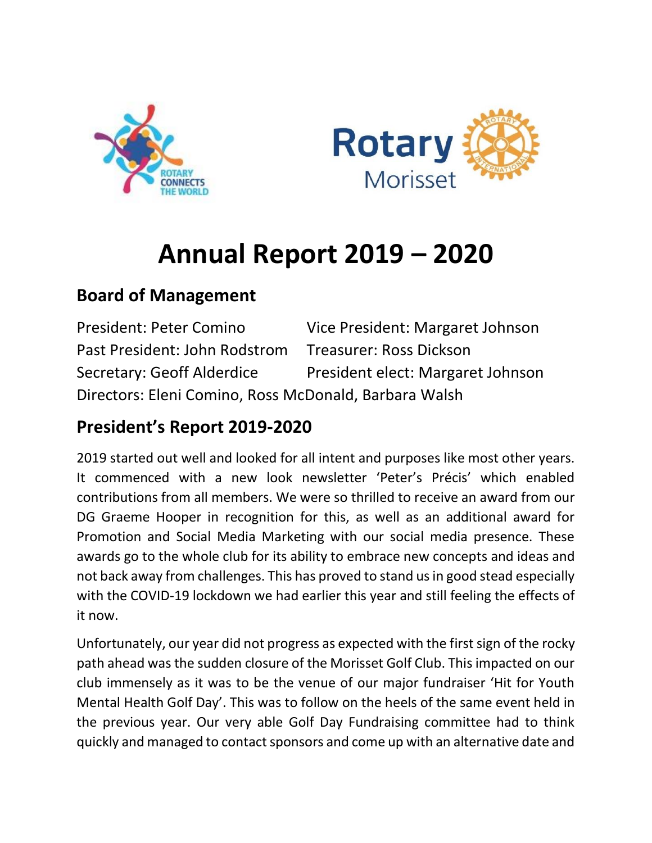



# **Annual Report 2019 – 2020**

# **Board of Management**

| <b>President: Peter Comino</b>                        | Vice President: Margaret Johnson  |
|-------------------------------------------------------|-----------------------------------|
| Past President: John Rodstrom                         | Treasurer: Ross Dickson           |
| <b>Secretary: Geoff Alderdice</b>                     | President elect: Margaret Johnson |
| Directors: Eleni Comino, Ross McDonald, Barbara Walsh |                                   |

# **President's Report 2019-2020**

2019 started out well and looked for all intent and purposes like most other years. It commenced with a new look newsletter 'Peter's Précis' which enabled contributions from all members. We were so thrilled to receive an award from our DG Graeme Hooper in recognition for this, as well as an additional award for Promotion and Social Media Marketing with our social media presence. These awards go to the whole club for its ability to embrace new concepts and ideas and not back away from challenges. This has proved to stand us in good stead especially with the COVID-19 lockdown we had earlier this year and still feeling the effects of it now.

Unfortunately, our year did not progress as expected with the first sign of the rocky path ahead was the sudden closure of the Morisset Golf Club. This impacted on our club immensely as it was to be the venue of our major fundraiser 'Hit for Youth Mental Health Golf Day'. This was to follow on the heels of the same event held in the previous year. Our very able Golf Day Fundraising committee had to think quickly and managed to contact sponsors and come up with an alternative date and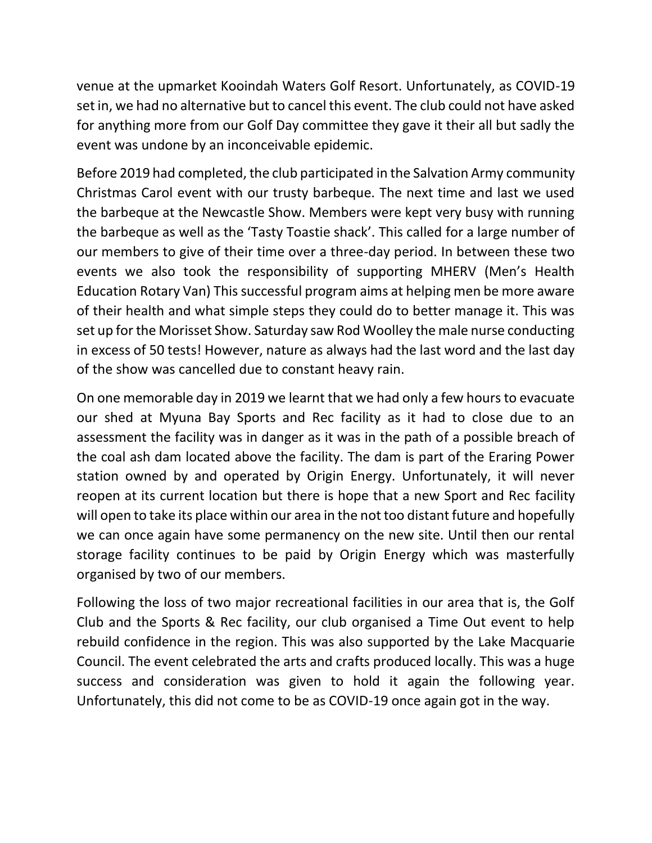venue at the upmarket Kooindah Waters Golf Resort. Unfortunately, as COVID-19 set in, we had no alternative but to cancel this event. The club could not have asked for anything more from our Golf Day committee they gave it their all but sadly the event was undone by an inconceivable epidemic.

Before 2019 had completed, the club participated in the Salvation Army community Christmas Carol event with our trusty barbeque. The next time and last we used the barbeque at the Newcastle Show. Members were kept very busy with running the barbeque as well as the 'Tasty Toastie shack'. This called for a large number of our members to give of their time over a three-day period. In between these two events we also took the responsibility of supporting MHERV (Men's Health Education Rotary Van) This successful program aims at helping men be more aware of their health and what simple steps they could do to better manage it. This was set up for the Morisset Show. Saturday saw Rod Woolley the male nurse conducting in excess of 50 tests! However, nature as always had the last word and the last day of the show was cancelled due to constant heavy rain.

On one memorable day in 2019 we learnt that we had only a few hours to evacuate our shed at Myuna Bay Sports and Rec facility as it had to close due to an assessment the facility was in danger as it was in the path of a possible breach of the coal ash dam located above the facility. The dam is part of the Eraring Power station owned by and operated by Origin Energy. Unfortunately, it will never reopen at its current location but there is hope that a new Sport and Rec facility will open to take its place within our area in the not too distant future and hopefully we can once again have some permanency on the new site. Until then our rental storage facility continues to be paid by Origin Energy which was masterfully organised by two of our members.

Following the loss of two major recreational facilities in our area that is, the Golf Club and the Sports & Rec facility, our club organised a Time Out event to help rebuild confidence in the region. This was also supported by the Lake Macquarie Council. The event celebrated the arts and crafts produced locally. This was a huge success and consideration was given to hold it again the following year. Unfortunately, this did not come to be as COVID-19 once again got in the way.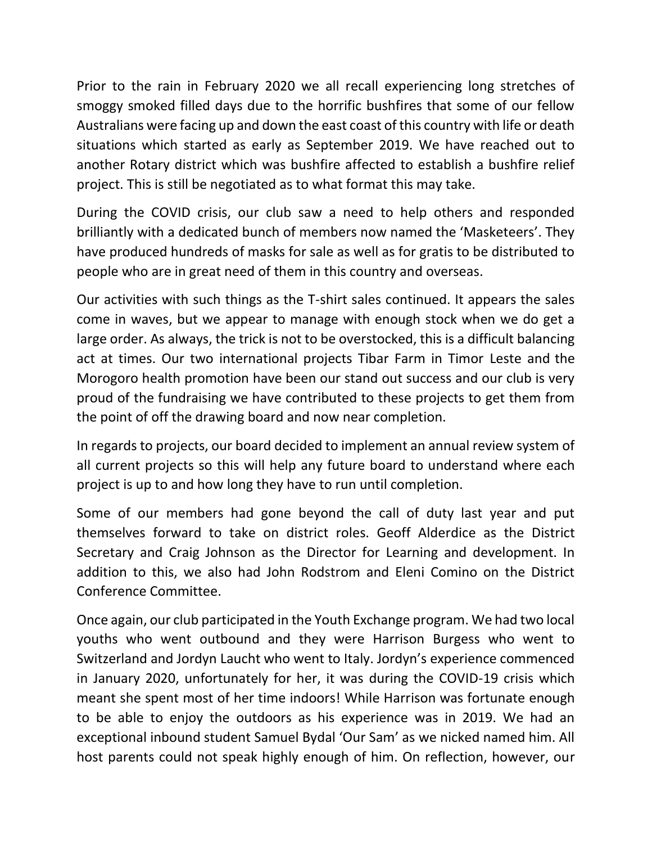Prior to the rain in February 2020 we all recall experiencing long stretches of smoggy smoked filled days due to the horrific bushfires that some of our fellow Australians were facing up and down the east coast of this country with life or death situations which started as early as September 2019. We have reached out to another Rotary district which was bushfire affected to establish a bushfire relief project. This is still be negotiated as to what format this may take.

During the COVID crisis, our club saw a need to help others and responded brilliantly with a dedicated bunch of members now named the 'Masketeers'. They have produced hundreds of masks for sale as well as for gratis to be distributed to people who are in great need of them in this country and overseas.

Our activities with such things as the T-shirt sales continued. It appears the sales come in waves, but we appear to manage with enough stock when we do get a large order. As always, the trick is not to be overstocked, this is a difficult balancing act at times. Our two international projects Tibar Farm in Timor Leste and the Morogoro health promotion have been our stand out success and our club is very proud of the fundraising we have contributed to these projects to get them from the point of off the drawing board and now near completion.

In regards to projects, our board decided to implement an annual review system of all current projects so this will help any future board to understand where each project is up to and how long they have to run until completion.

Some of our members had gone beyond the call of duty last year and put themselves forward to take on district roles. Geoff Alderdice as the District Secretary and Craig Johnson as the Director for Learning and development. In addition to this, we also had John Rodstrom and Eleni Comino on the District Conference Committee.

Once again, our club participated in the Youth Exchange program. We had two local youths who went outbound and they were Harrison Burgess who went to Switzerland and Jordyn Laucht who went to Italy. Jordyn's experience commenced in January 2020, unfortunately for her, it was during the COVID-19 crisis which meant she spent most of her time indoors! While Harrison was fortunate enough to be able to enjoy the outdoors as his experience was in 2019. We had an exceptional inbound student Samuel Bydal 'Our Sam' as we nicked named him. All host parents could not speak highly enough of him. On reflection, however, our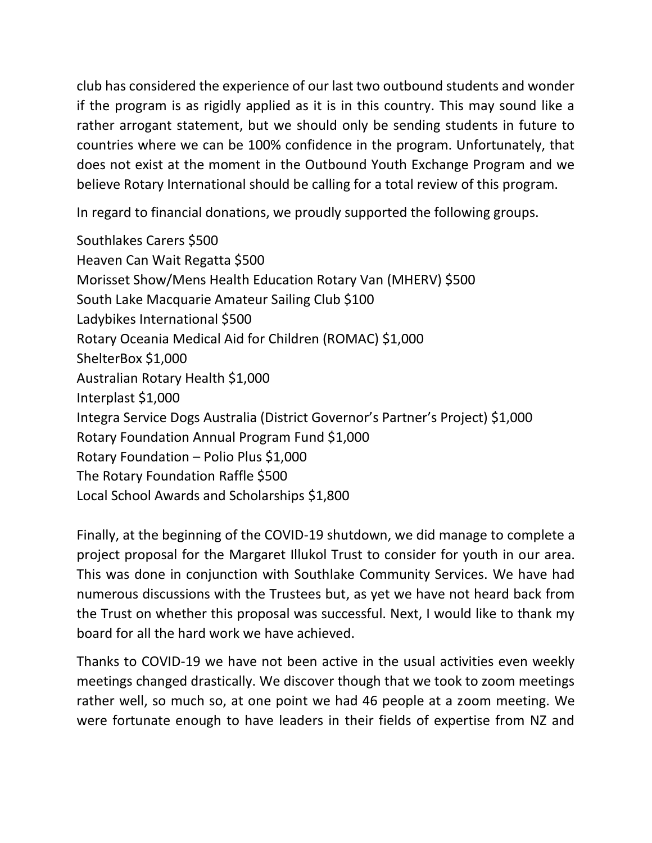club has considered the experience of our last two outbound students and wonder if the program is as rigidly applied as it is in this country. This may sound like a rather arrogant statement, but we should only be sending students in future to countries where we can be 100% confidence in the program. Unfortunately, that does not exist at the moment in the Outbound Youth Exchange Program and we believe Rotary International should be calling for a total review of this program.

In regard to financial donations, we proudly supported the following groups.

Southlakes Carers \$500 Heaven Can Wait Regatta \$500 Morisset Show/Mens Health Education Rotary Van (MHERV) \$500 South Lake Macquarie Amateur Sailing Club \$100 Ladybikes International \$500 Rotary Oceania Medical Aid for Children (ROMAC) \$1,000 ShelterBox \$1,000 Australian Rotary Health \$1,000 Interplast \$1,000 Integra Service Dogs Australia (District Governor's Partner's Project) \$1,000 Rotary Foundation Annual Program Fund \$1,000 Rotary Foundation – Polio Plus \$1,000 The Rotary Foundation Raffle \$500 Local School Awards and Scholarships \$1,800

Finally, at the beginning of the COVID-19 shutdown, we did manage to complete a project proposal for the Margaret Illukol Trust to consider for youth in our area. This was done in conjunction with Southlake Community Services. We have had numerous discussions with the Trustees but, as yet we have not heard back from the Trust on whether this proposal was successful. Next, I would like to thank my board for all the hard work we have achieved.

Thanks to COVID-19 we have not been active in the usual activities even weekly meetings changed drastically. We discover though that we took to zoom meetings rather well, so much so, at one point we had 46 people at a zoom meeting. We were fortunate enough to have leaders in their fields of expertise from NZ and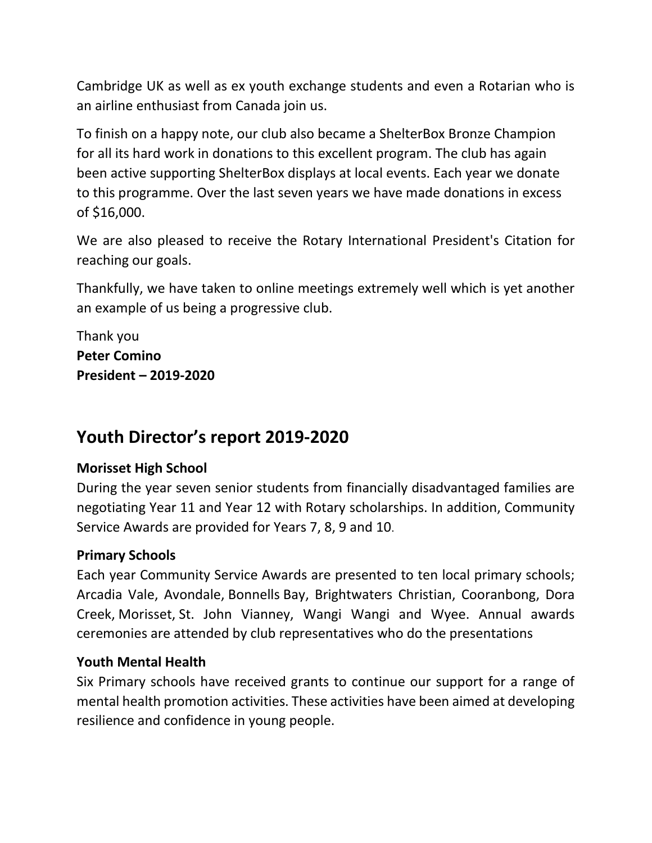Cambridge UK as well as ex youth exchange students and even a Rotarian who is an airline enthusiast from Canada join us.

To finish on a happy note, our club also became a ShelterBox Bronze Champion for all its hard work in donations to this excellent program. The club has again been active supporting ShelterBox displays at local events. Each year we donate to this programme. Over the last seven years we have made donations in excess of \$16,000.

We are also pleased to receive the Rotary International President's Citation for reaching our goals.

Thankfully, we have taken to online meetings extremely well which is yet another an example of us being a progressive club.

Thank you **Peter Comino President – 2019-2020**

# **Youth Director's report 2019-2020**

# **Morisset High School**

During the year seven senior students from financially disadvantaged families are negotiating Year 11 and Year 12 with Rotary scholarships. In addition, Community Service Awards are provided for Years 7, 8, 9 and 10.

### **Primary Schools**

Each year Community Service Awards are presented to ten local primary schools; Arcadia Vale, Avondale, Bonnells Bay, Brightwaters Christian, Cooranbong, Dora Creek, Morisset, St. John Vianney, Wangi Wangi and Wyee. Annual awards ceremonies are attended by club representatives who do the presentations

### **Youth Mental Health**

Six Primary schools have received grants to continue our support for a range of mental health promotion activities. These activities have been aimed at developing resilience and confidence in young people.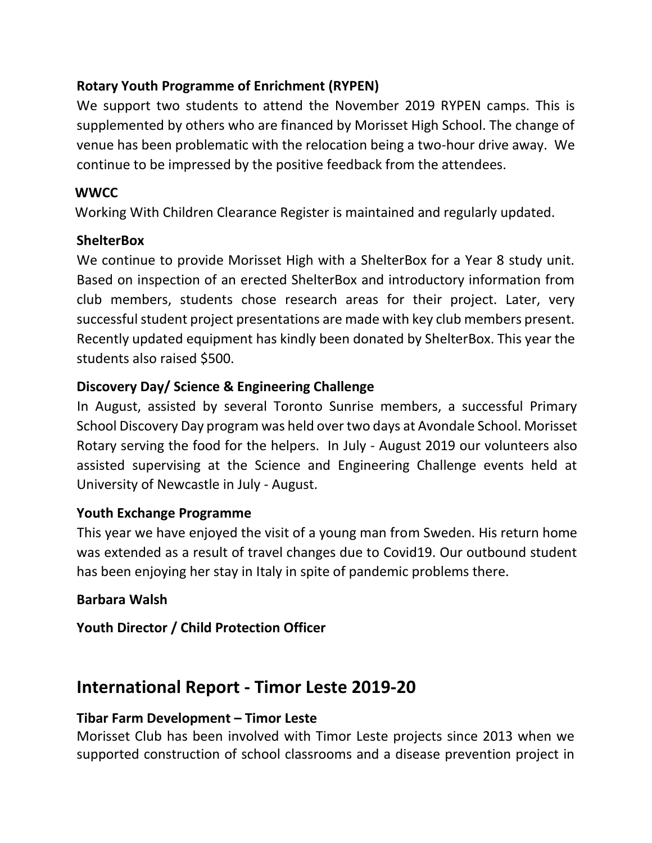# **Rotary Youth Programme of Enrichment (RYPEN)**

We support two students to attend the November 2019 RYPEN camps. This is supplemented by others who are financed by Morisset High School. The change of venue has been problematic with the relocation being a two-hour drive away. We continue to be impressed by the positive feedback from the attendees.

# **WWCC**

Working With Children Clearance Register is maintained and regularly updated.

# **ShelterBox**

We continue to provide Morisset High with a ShelterBox for a Year 8 study unit. Based on inspection of an erected ShelterBox and introductory information from club members, students chose research areas for their project. Later, very successful student project presentations are made with key club members present. Recently updated equipment has kindly been donated by ShelterBox. This year the students also raised \$500.

# **Discovery Day/ Science & Engineering Challenge**

 In August, assisted by several Toronto Sunrise members, a successful Primary School Discovery Day program was held over two days at Avondale School. Morisset Rotary serving the food for the helpers. In July - August 2019 our volunteers also assisted supervising at the Science and Engineering Challenge events held at University of Newcastle in July - August.

# **Youth Exchange Programme**

 This year we have enjoyed the visit of a young man from Sweden. His return home was extended as a result of travel changes due to Covid19. Our outbound student has been enjoying her stay in Italy in spite of pandemic problems there.

# **Barbara Walsh**

**Youth Director / Child Protection Officer**

# **International Report - Timor Leste 2019-20**

# **Tibar Farm Development – Timor Leste**

Morisset Club has been involved with Timor Leste projects since 2013 when we supported construction of school classrooms and a disease prevention project in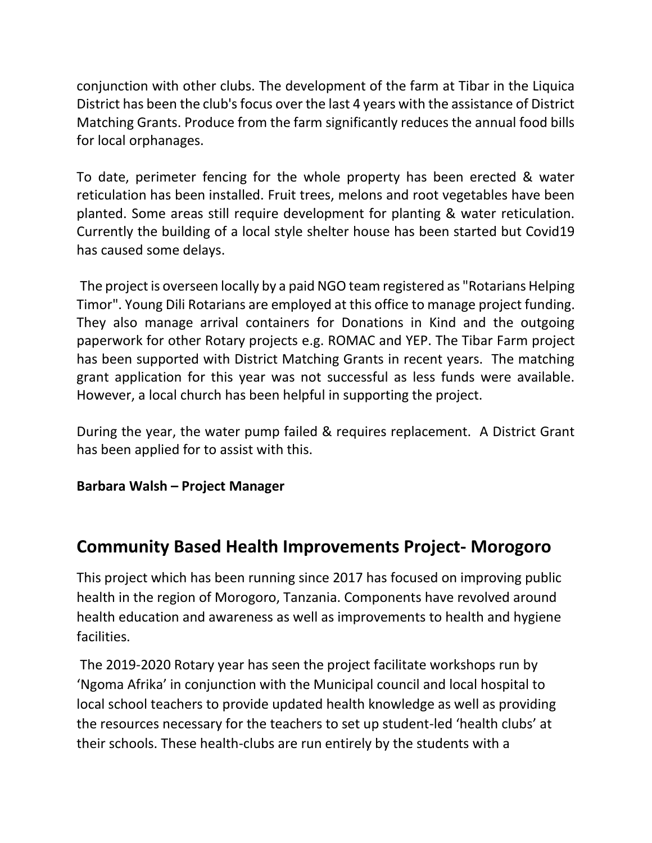conjunction with other clubs. The development of the farm at Tibar in the Liquica District has been the club's focus over the last 4 years with the assistance of District Matching Grants. Produce from the farm significantly reduces the annual food bills for local orphanages.

To date, perimeter fencing for the whole property has been erected & water reticulation has been installed. Fruit trees, melons and root vegetables have been planted. Some areas still require development for planting & water reticulation. Currently the building of a local style shelter house has been started but Covid19 has caused some delays.

The project is overseen locally by a paid NGO team registered as "Rotarians Helping Timor". Young Dili Rotarians are employed at this office to manage project funding. They also manage arrival containers for Donations in Kind and the outgoing paperwork for other Rotary projects e.g. ROMAC and YEP. The Tibar Farm project has been supported with District Matching Grants in recent years. The matching grant application for this year was not successful as less funds were available. However, a local church has been helpful in supporting the project.

During the year, the water pump failed & requires replacement. A District Grant has been applied for to assist with this.

### **Barbara Walsh – Project Manager**

# **Community Based Health Improvements Project- Morogoro**

This project which has been running since 2017 has focused on improving public health in the region of Morogoro, Tanzania. Components have revolved around health education and awareness as well as improvements to health and hygiene facilities.

The 2019-2020 Rotary year has seen the project facilitate workshops run by 'Ngoma Afrika' in conjunction with the Municipal council and local hospital to local school teachers to provide updated health knowledge as well as providing the resources necessary for the teachers to set up student-led 'health clubs' at their schools. These health-clubs are run entirely by the students with a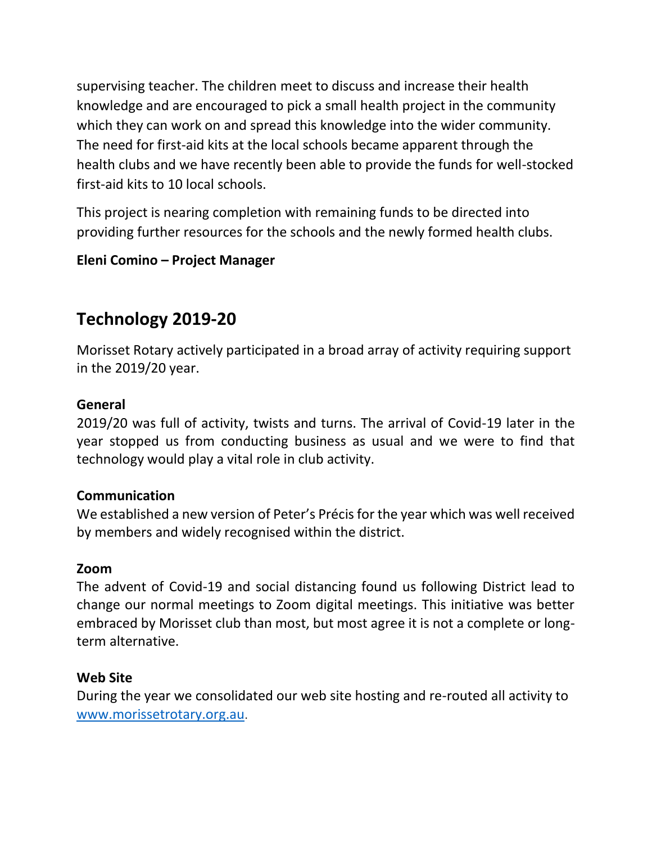supervising teacher. The children meet to discuss and increase their health knowledge and are encouraged to pick a small health project in the community which they can work on and spread this knowledge into the wider community. The need for first-aid kits at the local schools became apparent through the health clubs and we have recently been able to provide the funds for well-stocked first-aid kits to 10 local schools.

This project is nearing completion with remaining funds to be directed into providing further resources for the schools and the newly formed health clubs.

# **Eleni Comino – Project Manager**

# **Technology 2019-20**

Morisset Rotary actively participated in a broad array of activity requiring support in the 2019/20 year.

# **General**

2019/20 was full of activity, twists and turns. The arrival of Covid-19 later in the year stopped us from conducting business as usual and we were to find that technology would play a vital role in club activity.

# **Communication**

We established a new version of Peter's Précis for the year which was well received by members and widely recognised within the district.

### **Zoom**

The advent of Covid-19 and social distancing found us following District lead to change our normal meetings to Zoom digital meetings. This initiative was better embraced by Morisset club than most, but most agree it is not a complete or longterm alternative.

# **Web Site**

During the year we consolidated our web site hosting and re-routed all activity to [www.morissetrotary.org.au](about:blank).